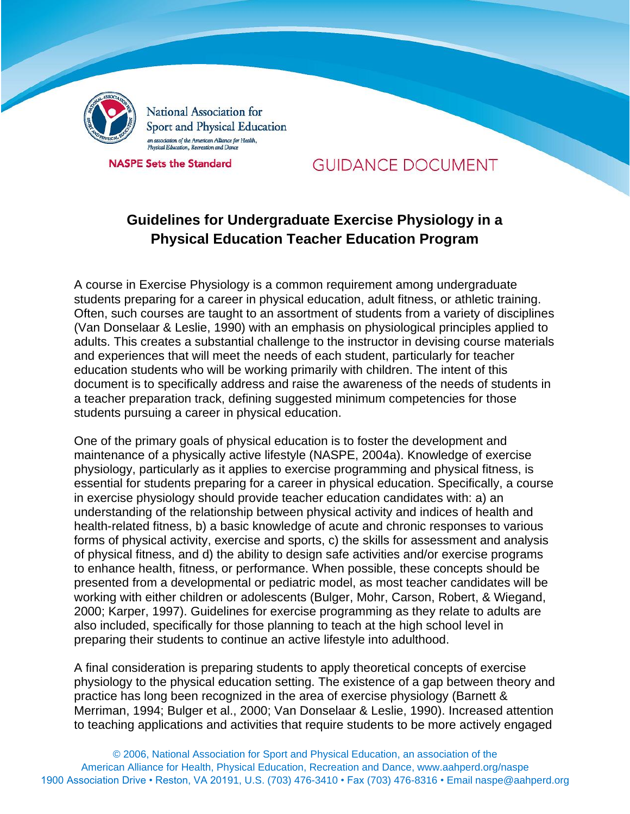

National Association for Sport and Physical Education an association of the American Alliance for Health,<br>Physical Education, Recreation and Dance

**NASPE Sets the Standard** 

# **GUIDANCE DOCUMENT**

# **Guidelines for Undergraduate Exercise Physiology in a Physical Education Teacher Education Program**

A course in Exercise Physiology is a common requirement among undergraduate students preparing for a career in physical education, adult fitness, or athletic training. Often, such courses are taught to an assortment of students from a variety of disciplines (Van Donselaar & Leslie, 1990) with an emphasis on physiological principles applied to adults. This creates a substantial challenge to the instructor in devising course materials and experiences that will meet the needs of each student, particularly for teacher education students who will be working primarily with children. The intent of this document is to specifically address and raise the awareness of the needs of students in a teacher preparation track, defining suggested minimum competencies for those students pursuing a career in physical education.

One of the primary goals of physical education is to foster the development and maintenance of a physically active lifestyle (NASPE, 2004a). Knowledge of exercise physiology, particularly as it applies to exercise programming and physical fitness, is essential for students preparing for a career in physical education. Specifically, a course in exercise physiology should provide teacher education candidates with: a) an understanding of the relationship between physical activity and indices of health and health-related fitness, b) a basic knowledge of acute and chronic responses to various forms of physical activity, exercise and sports, c) the skills for assessment and analysis of physical fitness, and d) the ability to design safe activities and/or exercise programs to enhance health, fitness, or performance. When possible, these concepts should be presented from a developmental or pediatric model, as most teacher candidates will be working with either children or adolescents (Bulger, Mohr, Carson, Robert, & Wiegand, 2000; Karper, 1997). Guidelines for exercise programming as they relate to adults are also included, specifically for those planning to teach at the high school level in preparing their students to continue an active lifestyle into adulthood.

A final consideration is preparing students to apply theoretical concepts of exercise physiology to the physical education setting. The existence of a gap between theory and practice has long been recognized in the area of exercise physiology (Barnett & Merriman, 1994; Bulger et al., 2000; Van Donselaar & Leslie, 1990). Increased attention to teaching applications and activities that require students to be more actively engaged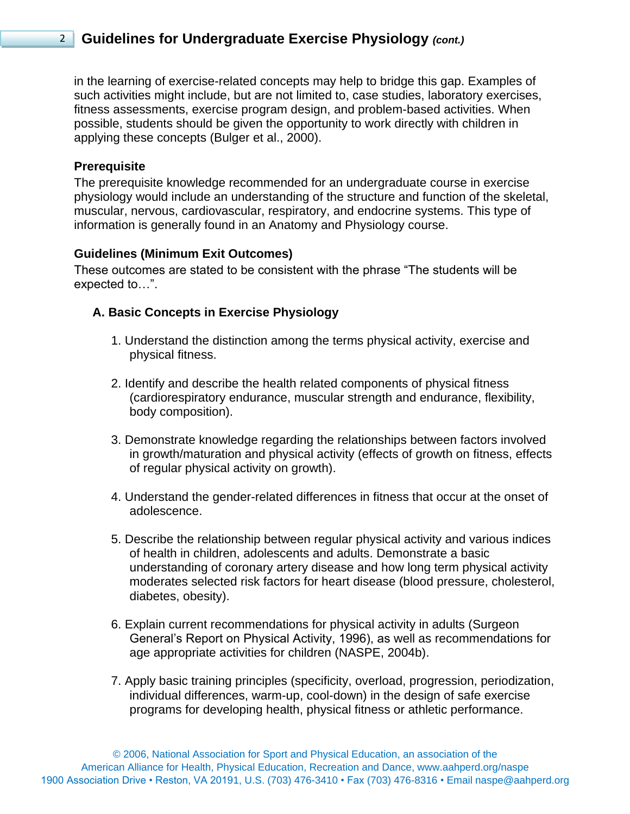in the learning of exercise-related concepts may help to bridge this gap. Examples of such activities might include, but are not limited to, case studies, laboratory exercises, fitness assessments, exercise program design, and problem-based activities. When possible, students should be given the opportunity to work directly with children in applying these concepts (Bulger et al., 2000).

#### **Prerequisite**

The prerequisite knowledge recommended for an undergraduate course in exercise physiology would include an understanding of the structure and function of the skeletal, muscular, nervous, cardiovascular, respiratory, and endocrine systems. This type of information is generally found in an Anatomy and Physiology course.

### **Guidelines (Minimum Exit Outcomes)**

These outcomes are stated to be consistent with the phrase "The students will be expected to…".

## **A. Basic Concepts in Exercise Physiology**

- 1. Understand the distinction among the terms physical activity, exercise and physical fitness.
- 2. Identify and describe the health related components of physical fitness (cardiorespiratory endurance, muscular strength and endurance, flexibility, body composition).
- 3. Demonstrate knowledge regarding the relationships between factors involved in growth/maturation and physical activity (effects of growth on fitness, effects of regular physical activity on growth).
- 4. Understand the gender-related differences in fitness that occur at the onset of adolescence.
- 5. Describe the relationship between regular physical activity and various indices of health in children, adolescents and adults. Demonstrate a basic understanding of coronary artery disease and how long term physical activity moderates selected risk factors for heart disease (blood pressure, cholesterol, diabetes, obesity).
- 6. Explain current recommendations for physical activity in adults (Surgeon General's Report on Physical Activity, 1996), as well as recommendations for age appropriate activities for children (NASPE, 2004b).
- 7. Apply basic training principles (specificity, overload, progression, periodization, individual differences, warm-up, cool-down) in the design of safe exercise programs for developing health, physical fitness or athletic performance.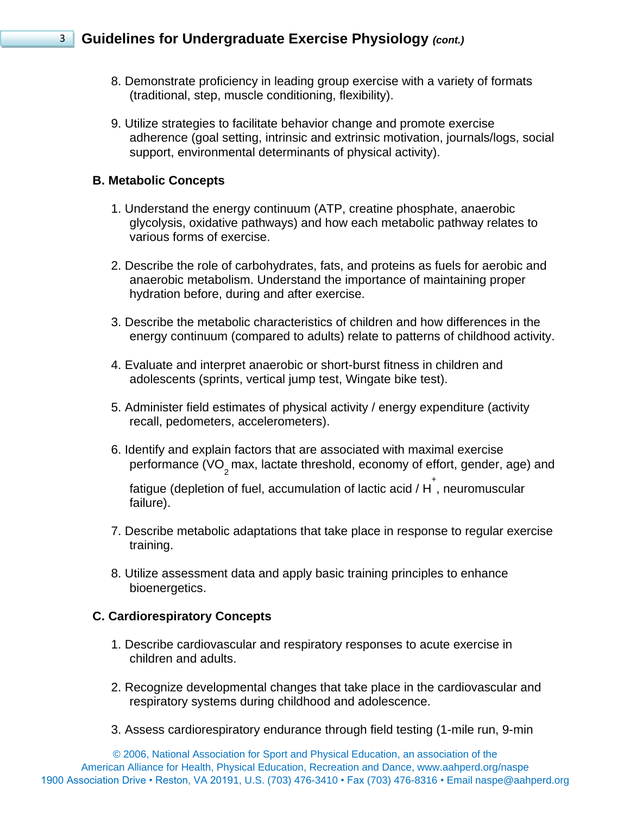- 8. Demonstrate proficiency in leading group exercise with a variety of formats (traditional, step, muscle conditioning, flexibility).
- 9. Utilize strategies to facilitate behavior change and promote exercise adherence (goal setting, intrinsic and extrinsic motivation, journals/logs, social support, environmental determinants of physical activity).

### **B. Metabolic Concepts**

- 1. Understand the energy continuum (ATP, creatine phosphate, anaerobic glycolysis, oxidative pathways) and how each metabolic pathway relates to various forms of exercise.
- 2. Describe the role of carbohydrates, fats, and proteins as fuels for aerobic and anaerobic metabolism. Understand the importance of maintaining proper hydration before, during and after exercise.
- 3. Describe the metabolic characteristics of children and how differences in the energy continuum (compared to adults) relate to patterns of childhood activity.
- 4. Evaluate and interpret anaerobic or short-burst fitness in children and adolescents (sprints, vertical jump test, Wingate bike test).
- 5. Administer field estimates of physical activity / energy expenditure (activity recall, pedometers, accelerometers).
- 6. Identify and explain factors that are associated with maximal exercise performance (VO<sub>2</sub> max, lactate threshold, economy of effort, gender, age) and

fatigue (depletion of fuel, accumulation of lactic acid / H<sup>+</sup>, neuromuscular failure).

- 7. Describe metabolic adaptations that take place in response to regular exercise training.
- 8. Utilize assessment data and apply basic training principles to enhance bioenergetics.

### **C. Cardiorespiratory Concepts**

- 1. Describe cardiovascular and respiratory responses to acute exercise in children and adults.
- 2. Recognize developmental changes that take place in the cardiovascular and respiratory systems during childhood and adolescence.
- 3. Assess cardiorespiratory endurance through field testing (1-mile run, 9-min

© 2006, National Association for Sport and Physical Education, an association of the American Alliance for Health, Physical Education, Recreation and Dance, www.aahperd.org/naspe 1900 Association Drive • Reston, VA 20191, U.S. (703) 476-3410 • Fax (703) 476-8316 • Email naspe@aahperd.org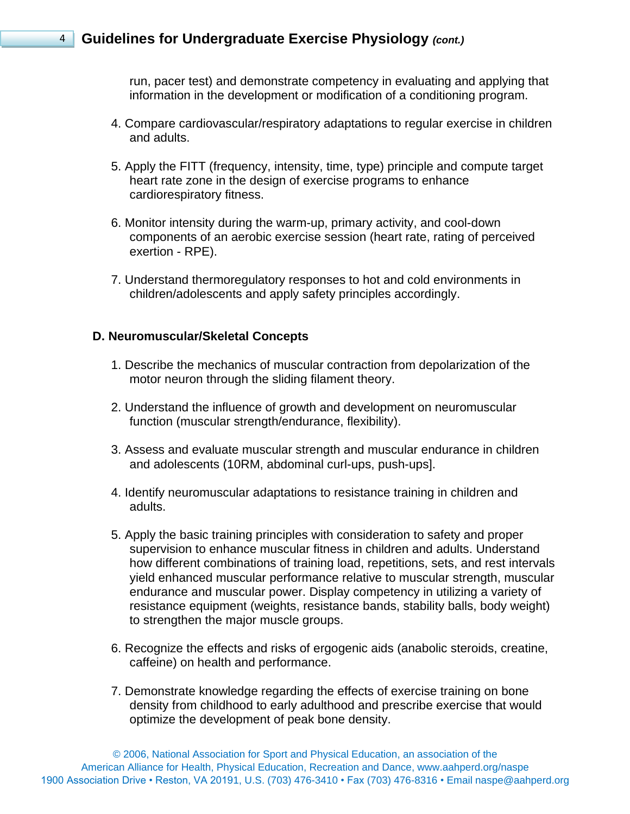run, pacer test) and demonstrate competency in evaluating and applying that information in the development or modification of a conditioning program.

- 4. Compare cardiovascular/respiratory adaptations to regular exercise in children and adults.
- 5. Apply the FITT (frequency, intensity, time, type) principle and compute target heart rate zone in the design of exercise programs to enhance cardiorespiratory fitness.
- 6. Monitor intensity during the warm-up, primary activity, and cool-down components of an aerobic exercise session (heart rate, rating of perceived exertion - RPE).
- 7. Understand thermoregulatory responses to hot and cold environments in children/adolescents and apply safety principles accordingly.

#### **D. Neuromuscular/Skeletal Concepts**

- 1. Describe the mechanics of muscular contraction from depolarization of the motor neuron through the sliding filament theory.
- 2. Understand the influence of growth and development on neuromuscular function (muscular strength/endurance, flexibility).
- 3. Assess and evaluate muscular strength and muscular endurance in children and adolescents (10RM, abdominal curl-ups, push-ups].
- 4. Identify neuromuscular adaptations to resistance training in children and adults.
- 5. Apply the basic training principles with consideration to safety and proper supervision to enhance muscular fitness in children and adults. Understand how different combinations of training load, repetitions, sets, and rest intervals yield enhanced muscular performance relative to muscular strength, muscular endurance and muscular power. Display competency in utilizing a variety of resistance equipment (weights, resistance bands, stability balls, body weight) to strengthen the major muscle groups.
- 6. Recognize the effects and risks of ergogenic aids (anabolic steroids, creatine, caffeine) on health and performance.
- 7. Demonstrate knowledge regarding the effects of exercise training on bone density from childhood to early adulthood and prescribe exercise that would optimize the development of peak bone density.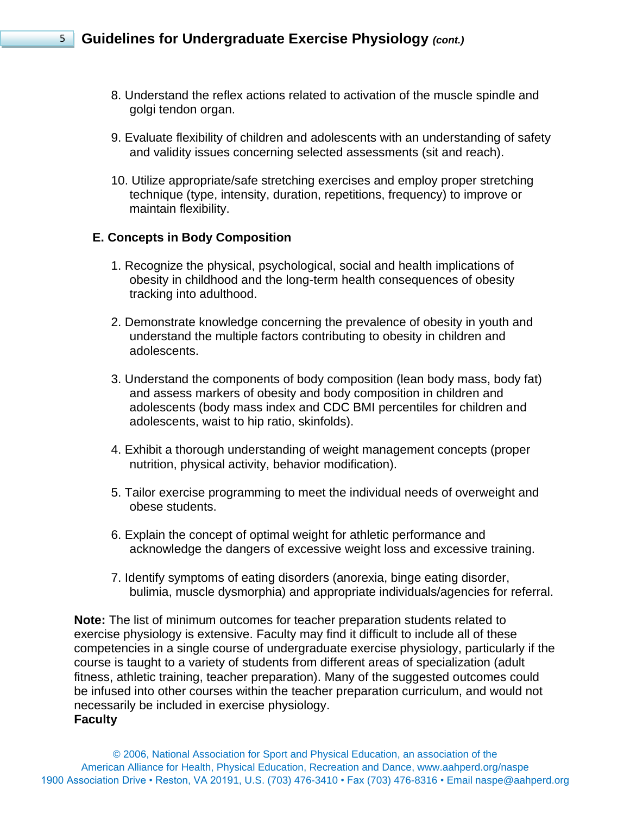- 8. Understand the reflex actions related to activation of the muscle spindle and golgi tendon organ.
- 9. Evaluate flexibility of children and adolescents with an understanding of safety and validity issues concerning selected assessments (sit and reach).
- 10. Utilize appropriate/safe stretching exercises and employ proper stretching technique (type, intensity, duration, repetitions, frequency) to improve or maintain flexibility.

## **E. Concepts in Body Composition**

- 1. Recognize the physical, psychological, social and health implications of obesity in childhood and the long-term health consequences of obesity tracking into adulthood.
- 2. Demonstrate knowledge concerning the prevalence of obesity in youth and understand the multiple factors contributing to obesity in children and adolescents.
- 3. Understand the components of body composition (lean body mass, body fat) and assess markers of obesity and body composition in children and adolescents (body mass index and CDC BMI percentiles for children and adolescents, waist to hip ratio, skinfolds).
- 4. Exhibit a thorough understanding of weight management concepts (proper nutrition, physical activity, behavior modification).
- 5. Tailor exercise programming to meet the individual needs of overweight and obese students.
- 6. Explain the concept of optimal weight for athletic performance and acknowledge the dangers of excessive weight loss and excessive training.
- 7. Identify symptoms of eating disorders (anorexia, binge eating disorder, bulimia, muscle dysmorphia) and appropriate individuals/agencies for referral.

**Note:** The list of minimum outcomes for teacher preparation students related to exercise physiology is extensive. Faculty may find it difficult to include all of these competencies in a single course of undergraduate exercise physiology, particularly if the course is taught to a variety of students from different areas of specialization (adult fitness, athletic training, teacher preparation). Many of the suggested outcomes could be infused into other courses within the teacher preparation curriculum, and would not necessarily be included in exercise physiology.

#### **Faculty**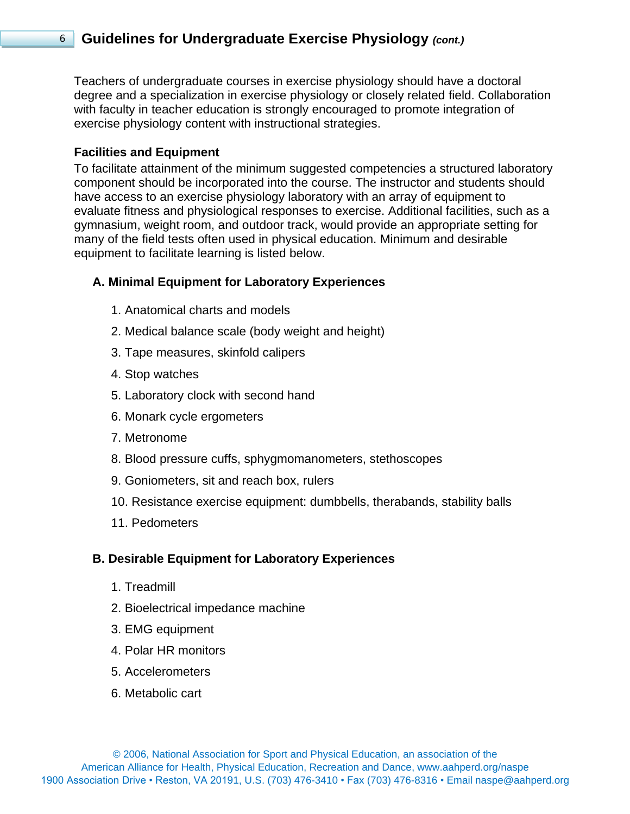Teachers of undergraduate courses in exercise physiology should have a doctoral degree and a specialization in exercise physiology or closely related field. Collaboration with faculty in teacher education is strongly encouraged to promote integration of exercise physiology content with instructional strategies.

### **Facilities and Equipment**

To facilitate attainment of the minimum suggested competencies a structured laboratory component should be incorporated into the course. The instructor and students should have access to an exercise physiology laboratory with an array of equipment to evaluate fitness and physiological responses to exercise. Additional facilities, such as a gymnasium, weight room, and outdoor track, would provide an appropriate setting for many of the field tests often used in physical education. Minimum and desirable equipment to facilitate learning is listed below.

### **A. Minimal Equipment for Laboratory Experiences**

- 1. Anatomical charts and models
- 2. Medical balance scale (body weight and height)
- 3. Tape measures, skinfold calipers
- 4. Stop watches
- 5. Laboratory clock with second hand
- 6. Monark cycle ergometers
- 7. Metronome
- 8. Blood pressure cuffs, sphygmomanometers, stethoscopes
- 9. Goniometers, sit and reach box, rulers
- 10. Resistance exercise equipment: dumbbells, therabands, stability balls
- 11. Pedometers

#### **B. Desirable Equipment for Laboratory Experiences**

- 1. Treadmill
- 2. Bioelectrical impedance machine
- 3. EMG equipment
- 4. Polar HR monitors
- 5. Accelerometers
- 6. Metabolic cart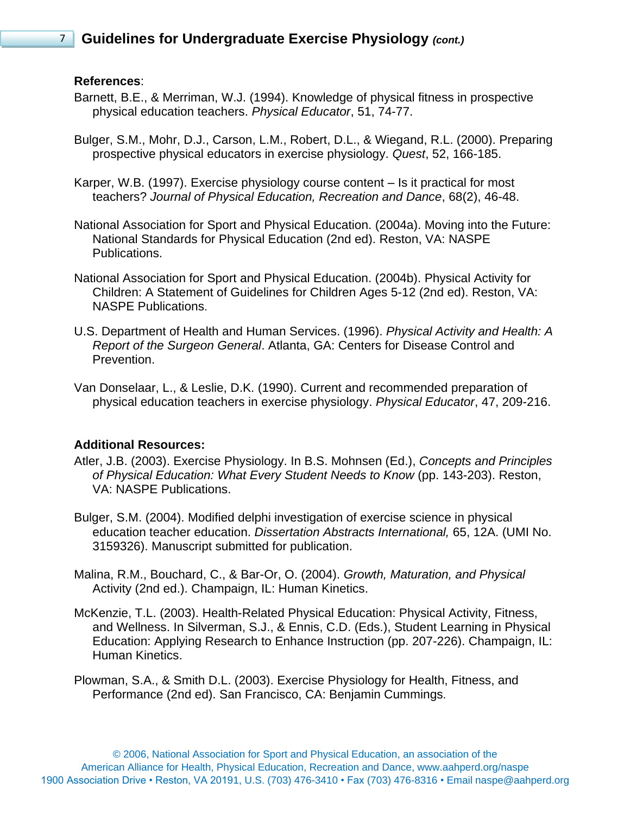### **References**:

- Barnett, B.E., & Merriman, W.J. (1994). Knowledge of physical fitness in prospective physical education teachers. *Physical Educator*, 51, 74-77.
- Bulger, S.M., Mohr, D.J., Carson, L.M., Robert, D.L., & Wiegand, R.L. (2000). Preparing prospective physical educators in exercise physiology. *Quest*, 52, 166-185.
- Karper, W.B. (1997). Exercise physiology course content Is it practical for most teachers? *Journal of Physical Education, Recreation and Dance*, 68(2), 46-48.
- National Association for Sport and Physical Education. (2004a). Moving into the Future: National Standards for Physical Education (2nd ed). Reston, VA: NASPE Publications.
- National Association for Sport and Physical Education. (2004b). Physical Activity for Children: A Statement of Guidelines for Children Ages 5-12 (2nd ed). Reston, VA: NASPE Publications.
- U.S. Department of Health and Human Services. (1996). *Physical Activity and Health: A Report of the Surgeon General*. Atlanta, GA: Centers for Disease Control and Prevention.
- Van Donselaar, L., & Leslie, D.K. (1990). Current and recommended preparation of physical education teachers in exercise physiology. *Physical Educator*, 47, 209-216.

## **Additional Resources:**

- Atler, J.B. (2003). Exercise Physiology. In B.S. Mohnsen (Ed.), *Concepts and Principles of Physical Education: What Every Student Needs to Know* (pp. 143-203). Reston, VA: NASPE Publications.
- Bulger, S.M. (2004). Modified delphi investigation of exercise science in physical education teacher education. *Dissertation Abstracts International,* 65, 12A. (UMI No. 3159326). Manuscript submitted for publication.
- Malina, R.M., Bouchard, C., & Bar-Or, O. (2004). *Growth, Maturation, and Physical*  Activity (2nd ed.). Champaign, IL: Human Kinetics.
- McKenzie, T.L. (2003). Health-Related Physical Education: Physical Activity, Fitness, and Wellness. In Silverman, S.J., & Ennis, C.D. (Eds.), Student Learning in Physical Education: Applying Research to Enhance Instruction (pp. 207-226). Champaign, IL: Human Kinetics.
- Plowman, S.A., & Smith D.L. (2003). Exercise Physiology for Health, Fitness, and Performance (2nd ed). San Francisco, CA: Benjamin Cummings.